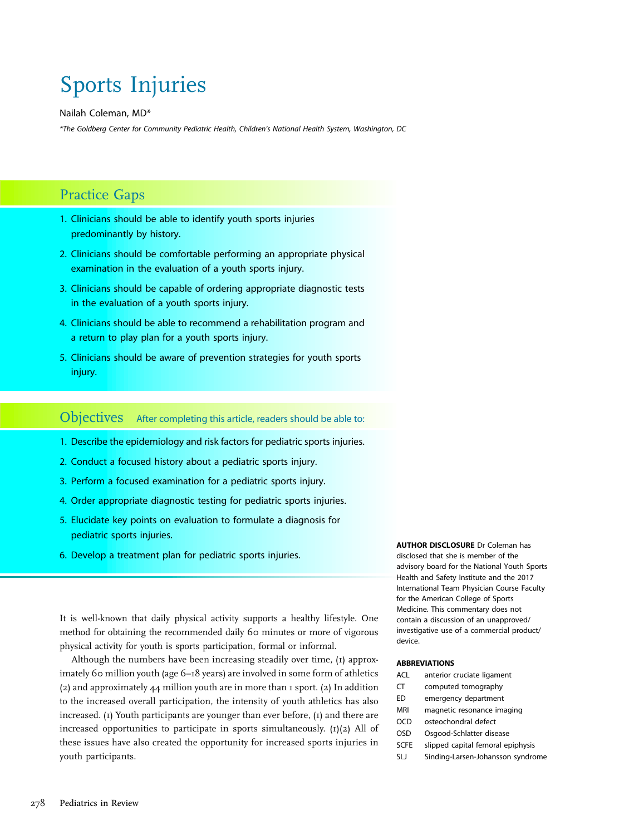# Sports Injuries

#### Nailah Coleman, MD\*

\*The Goldberg Center for Community Pediatric Health, Children's National Health System, Washington, DC

## Practice Gaps

- 1. Clinicians should be able to identify youth sports injuries predominantly by history.
- 2. Clinicians should be comfortable performing an appropriate physical examination in the evaluation of a youth sports injury.
- 3. Clinicians should be capable of ordering appropriate diagnostic tests in the evaluation of a youth sports injury.
- 4. Clinicians should be able to recommend a rehabilitation program and a return to play plan for a youth sports injury.
- 5. Clinicians should be aware of prevention strategies for youth sports injury.

### Objectives After completing this article, readers should be able to:

- 1. Describe the epidemiology and risk factors for pediatric sports injuries.
- 2. Conduct a focused history about a pediatric sports injury.
- 3. Perform a focused examination for a pediatric sports injury.
- 4. Order appropriate diagnostic testing for pediatric sports injuries.
- 5. Elucidate key points on evaluation to formulate a diagnosis for pediatric sports injuries.
- 6. Develop a treatment plan for pediatric sports injuries.

It is well-known that daily physical activity supports a healthy lifestyle. One method for obtaining the recommended daily 60 minutes or more of vigorous physical activity for youth is sports participation, formal or informal.

Although the numbers have been increasing steadily over time, (1) approximately 60 million youth (age 6–18 years) are involved in some form of athletics (2) and approximately  $44$  million youth are in more than  $\bar{1}$  sport. (2) In addition to the increased overall participation, the intensity of youth athletics has also increased. (1) Youth participants are younger than ever before, (1) and there are increased opportunities to participate in sports simultaneously.  $(1)(2)$  All of these issues have also created the opportunity for increased sports injuries in youth participants.

AUTHOR DISCLOSURE Dr Coleman has disclosed that she is member of the advisory board for the National Youth Sports Health and Safety Institute and the 2017 International Team Physician Course Faculty for the American College of Sports Medicine. This commentary does not contain a discussion of an unapproved/ investigative use of a commercial product/ device.

#### ABBREVIATIONS

- ACL anterior cruciate ligament
- CT computed tomography
- ED emergency department
- MRI magnetic resonance imaging
- OCD osteochondral defect
- OSD Osgood-Schlatter disease
- SCFE slipped capital femoral epiphysis
- SLJ Sinding-Larsen-Johansson syndrome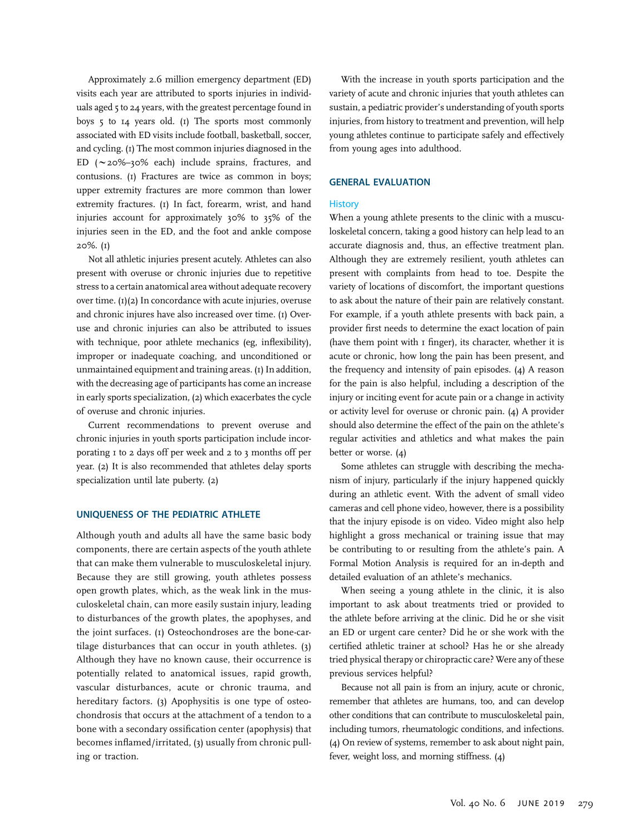Approximately 2.6 million emergency department (ED) visits each year are attributed to sports injuries in individuals aged 5 to 24 years, with the greatest percentage found in boys 5 to 14 years old. (1) The sports most commonly associated with ED visits include football, basketball, soccer, and cycling. (1) The most common injuries diagnosed in the ED ( $\sim$ 20%–30% each) include sprains, fractures, and contusions. (1) Fractures are twice as common in boys; upper extremity fractures are more common than lower extremity fractures. (1) In fact, forearm, wrist, and hand injuries account for approximately 30% to 35% of the injuries seen in the ED, and the foot and ankle compose 20%. (1)

Not all athletic injuries present acutely. Athletes can also present with overuse or chronic injuries due to repetitive stress to a certain anatomical area without adequate recovery over time.  $(I)(2)$  In concordance with acute injuries, overuse and chronic injures have also increased over time. (1) Overuse and chronic injuries can also be attributed to issues with technique, poor athlete mechanics (eg, inflexibility), improper or inadequate coaching, and unconditioned or unmaintained equipment and training areas. (1) In addition, with the decreasing age of participants has come an increase in early sports specialization, (2) which exacerbates the cycle of overuse and chronic injuries.

Current recommendations to prevent overuse and chronic injuries in youth sports participation include incorporating 1 to 2 days off per week and 2 to 3 months off per year. (2) It is also recommended that athletes delay sports specialization until late puberty. (2)

#### UNIQUENESS OF THE PEDIATRIC ATHLETE

Although youth and adults all have the same basic body components, there are certain aspects of the youth athlete that can make them vulnerable to musculoskeletal injury. Because they are still growing, youth athletes possess open growth plates, which, as the weak link in the musculoskeletal chain, can more easily sustain injury, leading to disturbances of the growth plates, the apophyses, and the joint surfaces. (1) Osteochondroses are the bone-cartilage disturbances that can occur in youth athletes. (3) Although they have no known cause, their occurrence is potentially related to anatomical issues, rapid growth, vascular disturbances, acute or chronic trauma, and hereditary factors. (3) Apophysitis is one type of osteochondrosis that occurs at the attachment of a tendon to a bone with a secondary ossification center (apophysis) that becomes inflamed/irritated, (3) usually from chronic pulling or traction.

With the increase in youth sports participation and the variety of acute and chronic injuries that youth athletes can sustain, a pediatric provider's understanding of youth sports injuries, from history to treatment and prevention, will help young athletes continue to participate safely and effectively from young ages into adulthood.

#### GENERAL EVALUATION

#### **History**

When a young athlete presents to the clinic with a musculoskeletal concern, taking a good history can help lead to an accurate diagnosis and, thus, an effective treatment plan. Although they are extremely resilient, youth athletes can present with complaints from head to toe. Despite the variety of locations of discomfort, the important questions to ask about the nature of their pain are relatively constant. For example, if a youth athlete presents with back pain, a provider first needs to determine the exact location of pain (have them point with 1 finger), its character, whether it is acute or chronic, how long the pain has been present, and the frequency and intensity of pain episodes. (4) A reason for the pain is also helpful, including a description of the injury or inciting event for acute pain or a change in activity or activity level for overuse or chronic pain. (4) A provider should also determine the effect of the pain on the athlete's regular activities and athletics and what makes the pain better or worse. (4)

Some athletes can struggle with describing the mechanism of injury, particularly if the injury happened quickly during an athletic event. With the advent of small video cameras and cell phone video, however, there is a possibility that the injury episode is on video. Video might also help highlight a gross mechanical or training issue that may be contributing to or resulting from the athlete's pain. A Formal Motion Analysis is required for an in-depth and detailed evaluation of an athlete's mechanics.

When seeing a young athlete in the clinic, it is also important to ask about treatments tried or provided to the athlete before arriving at the clinic. Did he or she visit an ED or urgent care center? Did he or she work with the certified athletic trainer at school? Has he or she already tried physical therapy or chiropractic care? Were any of these previous services helpful?

Because not all pain is from an injury, acute or chronic, remember that athletes are humans, too, and can develop other conditions that can contribute to musculoskeletal pain, including tumors, rheumatologic conditions, and infections. (4) On review of systems, remember to ask about night pain, fever, weight loss, and morning stiffness. (4)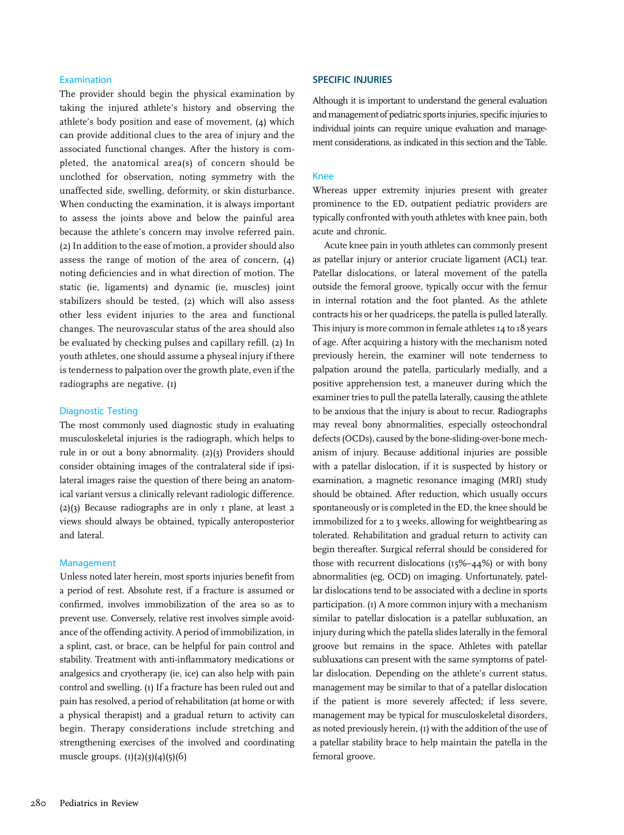#### **Examination**

The provider should begin the physical examination by taking the injured athlete's history and observing the athlete's body position and ease of movement, (4) which can provide additional clues to the area of injury and the associated functional changes. After the history is completed, the anatomical area(s) of concern should be unclothed for observation, noting symmetry with the unaffected side, swelling, deformity, or skin disturbance. When conducting the examination, it is always important to assess the joints above and below the painful area because the athlete's concern may involve referred pain. (2) In addition to the ease of motion, a provider should also assess the range of motion of the area of concern, (4) noting deficiencies and in what direction of motion. The static (ie, ligaments) and dynamic (ie, muscles) joint stabilizers should be tested, (2) which will also assess other less evident injuries to the area and functional changes. The neurovascular status of the area should also be evaluated by checking pulses and capillary refill. (2) In youth athletes, one should assume a physeal injury if there is tenderness to palpation over the growth plate, even if the radiographs are negative. (1)

#### Diagnostic Testing

The most commonly used diagnostic study in evaluating musculoskeletal injuries is the radiograph, which helps to rule in or out a bony abnormality. (2)(3) Providers should consider obtaining images of the contralateral side if ipsilateral images raise the question of there being an anatomical variant versus a clinically relevant radiologic difference.  $(2)(3)$  Because radiographs are in only I plane, at least 2 views should always be obtained, typically anteroposterior and lateral.

#### Management

Unless noted later herein, most sports injuries benefit from a period of rest. Absolute rest, if a fracture is assumed or confirmed, involves immobilization of the area so as to prevent use. Conversely, relative rest involves simple avoidance of the offending activity. A period of immobilization, in a splint, cast, or brace, can be helpful for pain control and stability. Treatment with anti-inflammatory medications or analgesics and cryotherapy (ie, ice) can also help with pain control and swelling. (1) If a fracture has been ruled out and pain has resolved, a period of rehabilitation (at home or with a physical therapist) and a gradual return to activity can begin. Therapy considerations include stretching and strengthening exercises of the involved and coordinating muscle groups.  $(1)(2)(3)(4)(5)(6)$ 

#### SPECIFIC INJURIES

Although it is important to understand the general evaluation and management of pediatric sports injuries, specific injuries to individual joints can require unique evaluation and management considerations, as indicated in this section and the Table.

#### Knee

Whereas upper extremity injuries present with greater prominence to the ED, outpatient pediatric providers are typically confronted with youth athletes with knee pain, both acute and chronic.

Acute knee pain in youth athletes can commonly present as patellar injury or anterior cruciate ligament (ACL) tear. Patellar dislocations, or lateral movement of the patella outside the femoral groove, typically occur with the femur in internal rotation and the foot planted. As the athlete contracts his or her quadriceps, the patella is pulled laterally. This injury is more common in female athletes 14 to 18 years of age. After acquiring a history with the mechanism noted previously herein, the examiner will note tenderness to palpation around the patella, particularly medially, and a positive apprehension test, a maneuver during which the examiner tries to pull the patella laterally, causing the athlete to be anxious that the injury is about to recur. Radiographs may reveal bony abnormalities, especially osteochondral defects (OCDs), caused by the bone-sliding-over-bone mechanism of injury. Because additional injuries are possible with a patellar dislocation, if it is suspected by history or examination, a magnetic resonance imaging (MRI) study should be obtained. After reduction, which usually occurs spontaneously or is completed in the ED, the knee should be immobilized for 2 to 3 weeks, allowing for weightbearing as tolerated. Rehabilitation and gradual return to activity can begin thereafter. Surgical referral should be considered for those with recurrent dislocations (15%–44%) or with bony abnormalities (eg, OCD) on imaging. Unfortunately, patellar dislocations tend to be associated with a decline in sports participation. (1) A more common injury with a mechanism similar to patellar dislocation is a patellar subluxation, an injury during which the patella slides laterally in the femoral groove but remains in the space. Athletes with patellar subluxations can present with the same symptoms of patellar dislocation. Depending on the athlete's current status, management may be similar to that of a patellar dislocation if the patient is more severely affected; if less severe, management may be typical for musculoskeletal disorders, as noted previously herein, (1) with the addition of the use of a patellar stability brace to help maintain the patella in the femoral groove.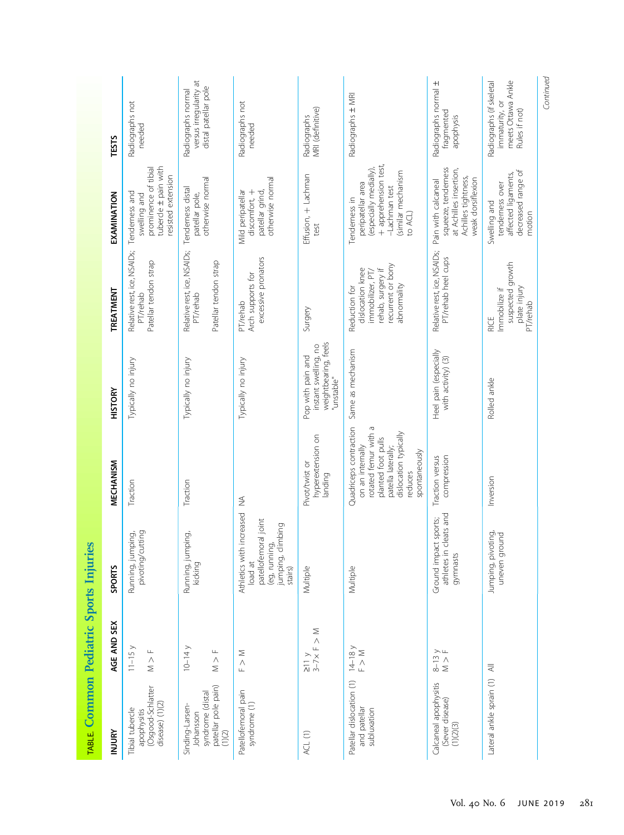| TABLE. Common Pediatric Sports Injur                                              |                                                                           | les                                                                                                                |                                                                                                                                                                     |                                                                                 |                                                                                                                |                                                                                                                                        |                                                                                   |
|-----------------------------------------------------------------------------------|---------------------------------------------------------------------------|--------------------------------------------------------------------------------------------------------------------|---------------------------------------------------------------------------------------------------------------------------------------------------------------------|---------------------------------------------------------------------------------|----------------------------------------------------------------------------------------------------------------|----------------------------------------------------------------------------------------------------------------------------------------|-----------------------------------------------------------------------------------|
| INJURY                                                                            | AGE AND SEX                                                               | <b>SPORTS</b>                                                                                                      | MECHANISM                                                                                                                                                           | <b>HISTORY</b>                                                                  | TREATMENT                                                                                                      | EXAMINATION                                                                                                                            | <b>TESTS</b>                                                                      |
| (Osgood-Schlatter<br>disease) (1)(2)<br>Tibial tubercle<br>apophysitis            | $11 - 15y$<br>Щ<br>$\stackrel{\wedge}{\geq}$                              | pivoting/cutting<br>Running, jumping,                                                                              | Traction                                                                                                                                                            | Typically no injury                                                             | Relative rest, ice, NSAIDs; Tenderness and<br>Patellar tendon strap<br><b>PT/rehab</b>                         | tubercle ± pain with<br>prominence of tibial<br>resisted extension<br>swelling and                                                     | Radiographs not<br>needed                                                         |
| patellar pole pain)<br>syndrome (distal<br>Sinding-Larsen-<br>Johansson<br>(1)(2) | $10-14y$<br>$\begin{array}{c}\n\vdash \\ \wedge \\ \ge\n\end{array}$      | Running, jumping,<br>kicking                                                                                       | Traction                                                                                                                                                            | Typically no injury                                                             | Relative rest, ice, NSAIDs;<br>Patellar tendon strap<br>PT/rehab                                               | otherwise normal<br>Tenderness distal<br>patellar pole,                                                                                | versus irregularity at<br>distal patellar pole<br>Radiographs normal              |
| Patellofemoral pain<br>syndrome (1)                                               | $\begin{aligned} &\geq\\ &\in \ \wedge \end{aligned}$                     | Athletics with increased NA<br>patellofemoral joint<br>climbing<br>(eg, running,<br>jumping,<br>load at<br>stairs) |                                                                                                                                                                     | Typically no injury                                                             | excessive pronators<br>Arch supports for<br>PT/rehab                                                           | otherwise normal<br>Mild peripatellar<br>patellar grind,<br>discomfort, +                                                              | Radiographs not<br>needed                                                         |
| ACL (1)                                                                           | $\begin{aligned}\n &\geq 11 \vee \\  &3-7 \times F > M\n\end{aligned}$    | Multiple                                                                                                           | hyperextension on<br>Pivot/twist or<br>landing                                                                                                                      | weightbearing, feels<br>instant swelling, no<br>Pop with pain and<br>"unstable" | Surgery                                                                                                        | Effusion, + Lachman<br>test                                                                                                            | MRI (definitive)<br>Radiographs                                                   |
| Patellar dislocation (1)<br>and patellar<br>subluxation                           | $\frac{14-18}{F} y$                                                       | Multiple                                                                                                           | rotated femur with a<br>Quadriceps contraction<br>dislocation typically<br>planted foot pulls<br>on an internally<br>patella laterally;<br>spontaneously<br>reduces | Same as mechanism                                                               | recurrent or bony<br>dislocation knee<br>rehab, surgery if<br>immobilizer, PT/<br>abnormality<br>Reduction for | + apprehension test,<br>(especially medially),<br>(similar mechanism<br>peripatellar area<br>-Lachman test<br>Tenderness in<br>to ACL) | Radiographs ± MRI                                                                 |
| Calcaneal apophysitis<br>(Sever disease)<br>(1)(2)(3)                             | $\begin{array}{c}\n8-13 \\ N \rightarrow F\n\end{array}$<br>$\frac{1}{2}$ | in cleats and<br>Ground impact sports;<br>gymnasts<br>athletes                                                     | compression<br>Traction versus                                                                                                                                      | Heel pain (especially<br>with activity) (3)                                     | Relative rest, ice, NSAIDs;<br>PT/rehab heel cups                                                              | squeeze, tenderness<br>at Achilles insertion,<br>Achilles tightness,<br>weak dorsiflexion<br>Pain with calcaneal                       | Radiographs normal ±<br>fragmented<br>apophysis                                   |
| Lateral ankle sprain (1)                                                          | $\overline{a}$                                                            | Jumping, pivoting,<br>uneven ground                                                                                | Inversion                                                                                                                                                           | Rolled ankle                                                                    | suspected growth<br>plate injury<br>Immobilize if<br>PT/rehab<br>RICE                                          | decreased range of<br>affected ligaments,<br>tenderness over<br>Swelling and<br>motion                                                 | meets Ottawa Ankle<br>Radiographs (if skeletal<br>immaturity, or<br>Rules if not) |
|                                                                                   |                                                                           |                                                                                                                    |                                                                                                                                                                     |                                                                                 |                                                                                                                |                                                                                                                                        |                                                                                   |

Continued Continued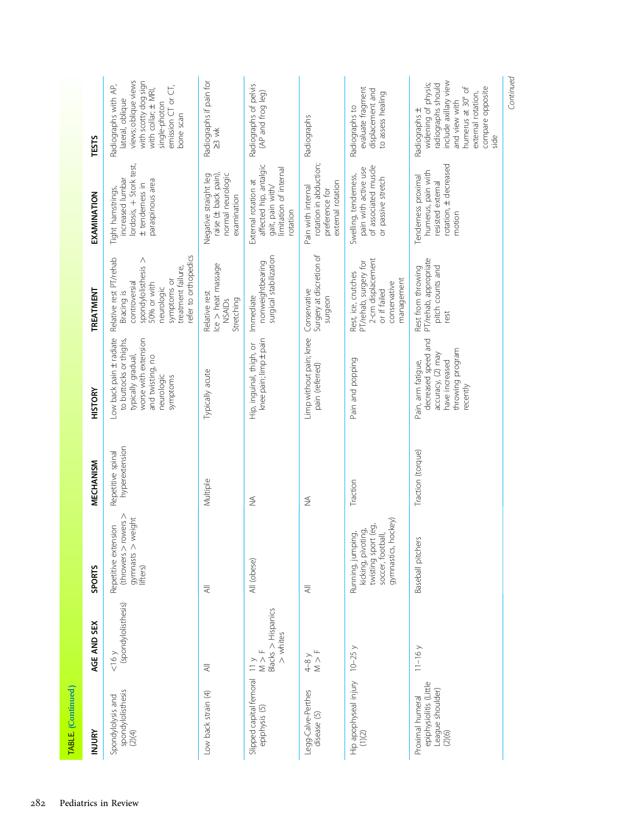| TABLE. (Continued)                                                       |                                                                                                      |                                                                                                            |                                     |                                                                                                                                               |                                                                                                                                                                        |                                                                                                          |                                                                                                                                                                             |
|--------------------------------------------------------------------------|------------------------------------------------------------------------------------------------------|------------------------------------------------------------------------------------------------------------|-------------------------------------|-----------------------------------------------------------------------------------------------------------------------------------------------|------------------------------------------------------------------------------------------------------------------------------------------------------------------------|----------------------------------------------------------------------------------------------------------|-----------------------------------------------------------------------------------------------------------------------------------------------------------------------------|
| INJURY                                                                   | AGE AND SEX                                                                                          | <b>SPORTS</b>                                                                                              | MECHANISM                           | <b>HISTORY</b>                                                                                                                                | TREATMENT                                                                                                                                                              | EXAMINATION                                                                                              | <b>TESTS</b>                                                                                                                                                                |
| spondylolisthesis<br>Spondylolysis and<br>(2)(4)                         | (spondylolisthesis)<br>16y                                                                           | $(t$ hrowers > rowers ><br>gymnasts > weight<br>Repetitive extension<br>lifters)                           | hyperextension<br>Repetitive spinal | Low back pain ± radiate<br>worse with extension<br>to buttocks or thighs,<br>typically gradual,<br>and twisting, no<br>neurologic<br>symptoms | refer to orthopedics<br>Relative rest PT/rehab<br>spondylolisthesis ><br>treatment failure,<br>symptoms or<br>controversial<br>50% or with<br>neurologic<br>Bracing is | lordosis, + Stork test,<br>increased lumbar<br>paraspinous area<br>± tenderness in<br>Tight hamstrings,  | views; oblique views<br>with scotty dog sign<br>Radiographs with AP,<br>t<br>with collar; ± MRI,<br>$emission$ $CT$ or<br>lateral, oblique<br>single-photon<br>bone scan    |
| Low back strain (4)                                                      | ₹                                                                                                    | ₹                                                                                                          | Multiple                            | Typically acute                                                                                                                               | Ice > heat massage<br>Relative rest<br>Stretching<br><b>NSAIDs</b>                                                                                                     | raise (± back pain),<br>normal neurologic<br>Negative straight leg<br>examination                        | Radiographs if pain for<br>$\geq$ 3 wk                                                                                                                                      |
| Slipped capital femoral<br>epiphysis (5)                                 | Blacks > Hispanics<br>> whites<br>$\frac{1}{2}$                                                      | All (obese)                                                                                                | $\frac{1}{2}$                       | knee pain; limp ± pain<br>Hip, inguinal, thigh, or                                                                                            | surgical stabilization<br>nonweightbearing<br>Immediate                                                                                                                | affected hip, antalgic<br>limitation of internal<br>External rotation at<br>gait, pain with/<br>rotation | Radiographs of pelvis<br>(AP and frog leg)                                                                                                                                  |
| Legg-Calve-Perthes<br>disease (5)                                        | $\begin{aligned} \mathbb{I} &\geq \mathbb{I} \\ \mathbb{M} &\geq \mathbb{I} \end{aligned}$<br>$4-8y$ | ₹                                                                                                          | $\frac{1}{2}$                       | Limp without pain; knee<br>pain (referred)                                                                                                    | Surgery at discretion of<br>Conservative<br>surgeon                                                                                                                    | rotation in abduction;<br>external rotation<br>Pain with internal<br>preference for                      | Radiographs                                                                                                                                                                 |
| Hip apophyseal injury<br>(1)(2)                                          | $10-25y$                                                                                             | gymnastics, hockey)<br>twisting sport (eg,<br>soccer, football,<br>kicking, pivoting,<br>Running, jumping, | Traction                            | Pain and popping                                                                                                                              | 2-cm displacement<br>PT/rehab, surgery for<br>Rest, ice, crutches<br>management<br>conservative<br>or if failed                                                        | of associated muscle<br>pain with active use<br>Swelling, tenderness,<br>or passive stretch              | evaluate fragment<br>displacement and<br>to assess healing<br>Radiographs to                                                                                                |
| epiphysiolitis (Little<br>League shoulder)<br>(2)(6)<br>Proximal humeral | $11 - 16y$                                                                                           | Baseball pitchers                                                                                          | Traction (torque)                   | decreased speed and<br>throwing program<br>accuracy, (2) may<br>have increased<br>Pain, arm fatigue,<br>recently                              | PT/rehab, appropriate<br>pitch counts and<br>Rest from throwing<br>rest                                                                                                | rotation, ± decreased<br>humerus, pain with<br>Tenderness proximal<br>resisted external<br>motion        | include axillary view<br>widening of physis;<br>radiographs should<br>compare opposite<br>humerus at 30° of<br>external rotation,<br>and view with<br>Radiographs ±<br>side |
|                                                                          |                                                                                                      |                                                                                                            |                                     |                                                                                                                                               |                                                                                                                                                                        |                                                                                                          | Continued                                                                                                                                                                   |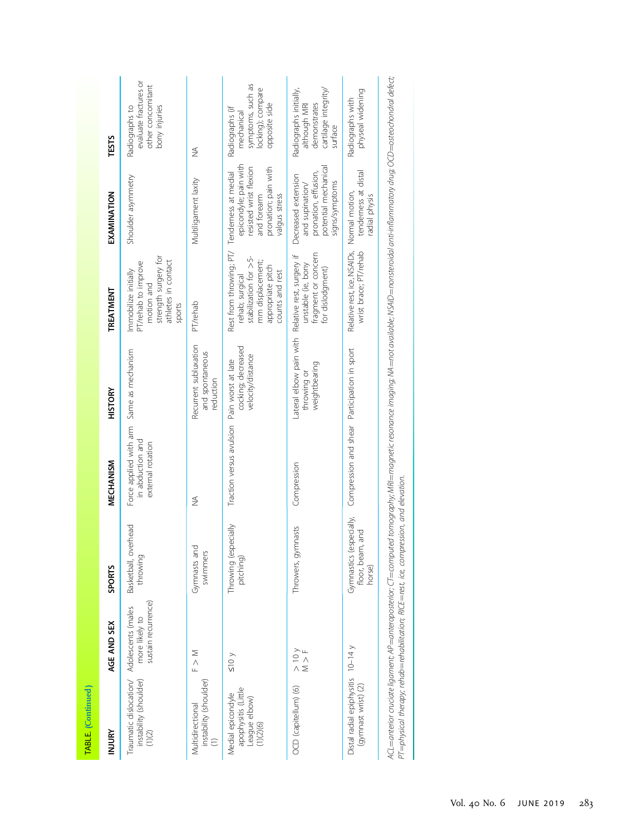| TABLE. (Continued)                                                             |                                       |                                                          |                                                                                                                                                                                                   |                                                         |                                                                                                                                                      |                                                                                                          |                                                                                           |
|--------------------------------------------------------------------------------|---------------------------------------|----------------------------------------------------------|---------------------------------------------------------------------------------------------------------------------------------------------------------------------------------------------------|---------------------------------------------------------|------------------------------------------------------------------------------------------------------------------------------------------------------|----------------------------------------------------------------------------------------------------------|-------------------------------------------------------------------------------------------|
| <b>INJURY</b>                                                                  | AGE AND SEX                           | <b>SPORTS</b>                                            | MECHANISM                                                                                                                                                                                         | <b>HISTORY</b>                                          | <b><i>TREATMENT</i></b>                                                                                                                              | EXAMINATION                                                                                              | TESTS                                                                                     |
| Traumatic dislocation/ Adolescents (males<br>instability (shoulder)<br>(1)(2)  | sustain recurrence)<br>more likely to | Basketball, overhead<br>throwing                         | Force applied with arm<br>in abduction and<br>external rotation                                                                                                                                   | Same as mechanism                                       | strength surgery for<br>athletes in contact<br>PT/rehab to improve<br>Immobilize initially<br>motion and<br>sports                                   | Shoulder asymmetry                                                                                       | evaluate fractures or<br>other concomitant<br>bony injuries<br>Radiographs to             |
| instability (shoulder)<br>Multidirectional<br>$\widehat{\epsilon}$             | $\leq$ $\land$                        | Gymnasts and<br>swimmers                                 | $\frac{1}{2}$                                                                                                                                                                                     | Recurrent subluxation<br>and spontaneous<br>reduction   | PT/rehab                                                                                                                                             | Multiligament laxity                                                                                     | $\stackrel{\leq}{\geq}$                                                                   |
| apophysitis (Little<br>Medial epicondyle<br>League elbow)<br>$(1)$ $(2)$ $(6)$ | $\times 10 \times$                    | Throwing (especially<br>pitching)                        | Traction versus avulsion Pain worst at late                                                                                                                                                       | cocking; decreased<br>velocity/distance                 | Rest from throwing; PT/ Tenderness at medial<br>stabilization for >5-<br>mm displacement;<br>appropriate pitch<br>counts and rest<br>rehab; surgical | epicondyle; pain with<br>pronation; pain with<br>resisted wrist flexion<br>valgus stress<br>and forearm  | symptoms, such as<br>ocking); compare<br>opposite side<br>Radiographs (if<br>mechanical   |
| OCD (capitellum) (6)                                                           | $> 10$ y<br>$\frac{1}{\lambda}$       | Throwers, gymnasts                                       | Compression                                                                                                                                                                                       | Lateral elbow pain with<br>weightbearing<br>throwing or | fragment or concern<br>Relative rest, surgery if<br>unstable (ie, bony<br>for dislodgment)                                                           | potential mechanical<br>pronation, effusion,<br>Decreased extension<br>signs/symptoms<br>and supination/ | Radiographs initially,<br>cartilage integrity/<br>demonstrates<br>although MRI<br>surtace |
| Distal radial epiphysitis 10-14 y<br>(gymnast wrist) (2)                       |                                       | (especially,<br>floor, beam, and<br>Gymnastics<br>horse) | Compression and shear Participation in sport                                                                                                                                                      |                                                         | Relative rest, ice, NSAIDs,<br>wrist brace; PT/rehab                                                                                                 | tenderness at distal<br>Normal motion,<br>adial physis                                                   | physeal widening<br>Radiographs with                                                      |
|                                                                                |                                       |                                                          | ACL=anterior avciate liaament, AP=anteroposterior; CT=computed tomography, MRI=magnetic resonance imaging; WA=not available; NSAID=nonsteroidal anti-inflammatory drug; OCD=osteochondral defect; |                                                         |                                                                                                                                                      |                                                                                                          |                                                                                           |

ACL≡anterior cruciate ligament; AP≡anteroposterior; CT∈computed tomography; MRI≚magnetic resonance imaging; NA≡noridal anti-inflammatory drug; OCD=osteochondral defect; .<br>สู้ n Áir יצי ייפי ACL=anterior cruciate iigament; AP=anteroposterior; CI=computed tomography; MKI=magr<br>PT=physical therapy; rehab=rehabilitation; RICE=rest, ice, compression, and elevation. PT=physical therapy; rehab=rehabilitation; RICE=rest, ice, compression, and elevation.

**I**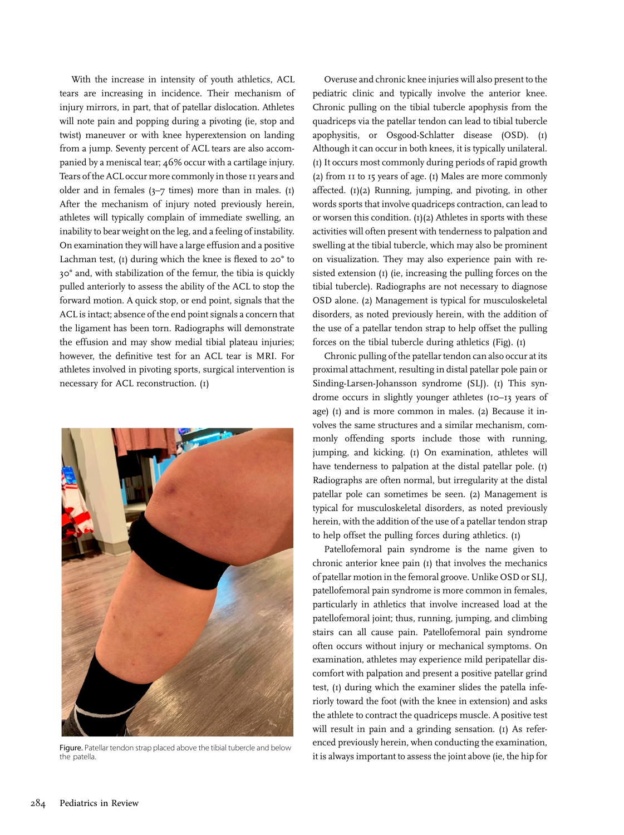With the increase in intensity of youth athletics, ACL tears are increasing in incidence. Their mechanism of injury mirrors, in part, that of patellar dislocation. Athletes will note pain and popping during a pivoting (ie, stop and twist) maneuver or with knee hyperextension on landing from a jump. Seventy percent of ACL tears are also accompanied by a meniscal tear; 46% occur with a cartilage injury. Tears of the ACL occur more commonly in those 11 years and older and in females  $(3–7 \times)$  more than in males.  $(I)$ After the mechanism of injury noted previously herein, athletes will typically complain of immediate swelling, an inability to bear weight on the leg, and a feeling of instability. On examination they will have a large effusion and a positive Lachman test,  $(I)$  during which the knee is flexed to 20 $\degree$  to 30° and, with stabilization of the femur, the tibia is quickly pulled anteriorly to assess the ability of the ACL to stop the forward motion. A quick stop, or end point, signals that the ACL is intact; absence of the end point signals a concern that the ligament has been torn. Radiographs will demonstrate the effusion and may show medial tibial plateau injuries; however, the definitive test for an ACL tear is MRI. For athletes involved in pivoting sports, surgical intervention is necessary for ACL reconstruction. (1)



Figure. Patellar tendon strap placed above the tibial tubercle and below the patella.

Overuse and chronic knee injuries will also present to the pediatric clinic and typically involve the anterior knee. Chronic pulling on the tibial tubercle apophysis from the quadriceps via the patellar tendon can lead to tibial tubercle apophysitis, or Osgood-Schlatter disease (OSD). (1) Although it can occur in both knees, it is typically unilateral. (1) It occurs most commonly during periods of rapid growth (2) from 11 to 15 years of age. (1) Males are more commonly affected. (1)(2) Running, jumping, and pivoting, in other words sports that involve quadriceps contraction, can lead to or worsen this condition.  $(I)(2)$  Athletes in sports with these activities will often present with tenderness to palpation and swelling at the tibial tubercle, which may also be prominent on visualization. They may also experience pain with resisted extension (1) (ie, increasing the pulling forces on the tibial tubercle). Radiographs are not necessary to diagnose OSD alone. (2) Management is typical for musculoskeletal disorders, as noted previously herein, with the addition of the use of a patellar tendon strap to help offset the pulling forces on the tibial tubercle during athletics (Fig). (1)

Chronic pulling of the patellar tendon can also occur at its proximal attachment, resulting in distal patellar pole pain or Sinding-Larsen-Johansson syndrome (SLJ). (1) This syndrome occurs in slightly younger athletes (10–13 years of age) (1) and is more common in males. (2) Because it involves the same structures and a similar mechanism, commonly offending sports include those with running, jumping, and kicking. (1) On examination, athletes will have tenderness to palpation at the distal patellar pole. (1) Radiographs are often normal, but irregularity at the distal patellar pole can sometimes be seen. (2) Management is typical for musculoskeletal disorders, as noted previously herein, with the addition of the use of a patellar tendon strap to help offset the pulling forces during athletics. (1)

Patellofemoral pain syndrome is the name given to chronic anterior knee pain (1) that involves the mechanics of patellar motion in the femoral groove. Unlike OSD or SLJ, patellofemoral pain syndrome is more common in females, particularly in athletics that involve increased load at the patellofemoral joint; thus, running, jumping, and climbing stairs can all cause pain. Patellofemoral pain syndrome often occurs without injury or mechanical symptoms. On examination, athletes may experience mild peripatellar discomfort with palpation and present a positive patellar grind test, (1) during which the examiner slides the patella inferiorly toward the foot (with the knee in extension) and asks the athlete to contract the quadriceps muscle. A positive test will result in pain and a grinding sensation. (1) As referenced previously herein, when conducting the examination, it is always important to assess the joint above (ie, the hip for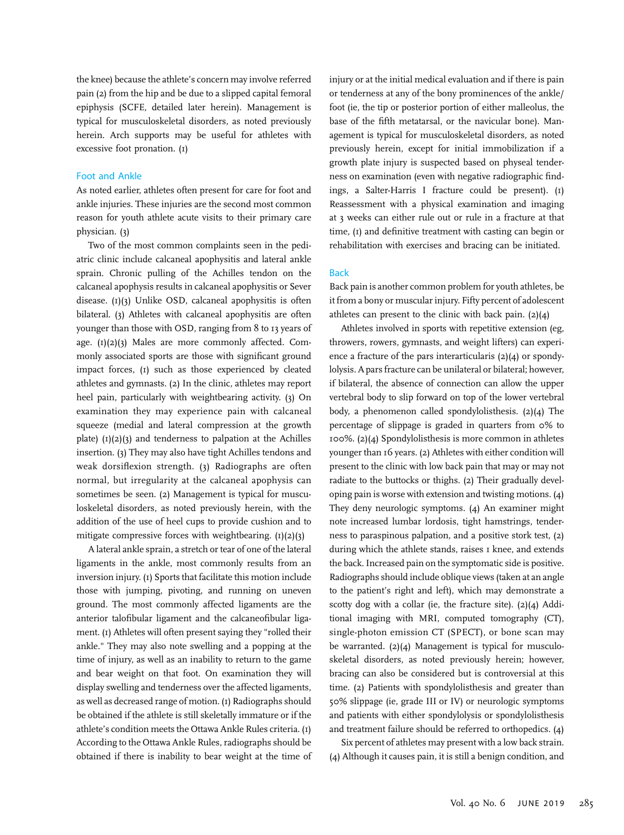the knee) because the athlete's concern may involve referred pain (2) from the hip and be due to a slipped capital femoral epiphysis (SCFE, detailed later herein). Management is typical for musculoskeletal disorders, as noted previously herein. Arch supports may be useful for athletes with excessive foot pronation. (1)

#### Foot and Ankle

As noted earlier, athletes often present for care for foot and ankle injuries. These injuries are the second most common reason for youth athlete acute visits to their primary care physician. (3)

Two of the most common complaints seen in the pediatric clinic include calcaneal apophysitis and lateral ankle sprain. Chronic pulling of the Achilles tendon on the calcaneal apophysis results in calcaneal apophysitis or Sever disease.  $(I)(3)$  Unlike OSD, calcaneal apophysitis is often bilateral. (3) Athletes with calcaneal apophysitis are often younger than those with OSD, ranging from 8 to 13 years of age.  $(1)(2)(3)$  Males are more commonly affected. Commonly associated sports are those with significant ground impact forces, (1) such as those experienced by cleated athletes and gymnasts. (2) In the clinic, athletes may report heel pain, particularly with weightbearing activity. (3) On examination they may experience pain with calcaneal squeeze (medial and lateral compression at the growth plate)  $(1)(2)(3)$  and tenderness to palpation at the Achilles insertion. (3) They may also have tight Achilles tendons and weak dorsiflexion strength. (3) Radiographs are often normal, but irregularity at the calcaneal apophysis can sometimes be seen. (2) Management is typical for musculoskeletal disorders, as noted previously herein, with the addition of the use of heel cups to provide cushion and to mitigate compressive forces with weightbearing.  $(1)(2)(3)$ 

A lateral ankle sprain, a stretch or tear of one of the lateral ligaments in the ankle, most commonly results from an inversion injury. (1) Sports that facilitate this motion include those with jumping, pivoting, and running on uneven ground. The most commonly affected ligaments are the anterior talofibular ligament and the calcaneofibular ligament. (1) Athletes will often present saying they "rolled their ankle." They may also note swelling and a popping at the time of injury, as well as an inability to return to the game and bear weight on that foot. On examination they will display swelling and tenderness over the affected ligaments, as well as decreased range of motion. (1) Radiographs should be obtained if the athlete is still skeletally immature or if the athlete's condition meets the Ottawa Ankle Rules criteria. (1) According to the Ottawa Ankle Rules, radiographs should be obtained if there is inability to bear weight at the time of injury or at the initial medical evaluation and if there is pain or tenderness at any of the bony prominences of the ankle/ foot (ie, the tip or posterior portion of either malleolus, the base of the fifth metatarsal, or the navicular bone). Management is typical for musculoskeletal disorders, as noted previously herein, except for initial immobilization if a growth plate injury is suspected based on physeal tenderness on examination (even with negative radiographic findings, a Salter-Harris I fracture could be present). (1) Reassessment with a physical examination and imaging at 3 weeks can either rule out or rule in a fracture at that time, (1) and definitive treatment with casting can begin or rehabilitation with exercises and bracing can be initiated.

#### Back

Back pain is another common problem for youth athletes, be it from a bony or muscular injury. Fifty percent of adolescent athletes can present to the clinic with back pain.  $(2)(4)$ 

Athletes involved in sports with repetitive extension (eg, throwers, rowers, gymnasts, and weight lifters) can experience a fracture of the pars interarticularis (2)(4) or spondylolysis. A pars fracture can be unilateral or bilateral; however, if bilateral, the absence of connection can allow the upper vertebral body to slip forward on top of the lower vertebral body, a phenomenon called spondylolisthesis. (2)(4) The percentage of slippage is graded in quarters from 0% to 100%. (2)(4) Spondylolisthesis is more common in athletes younger than 16 years. (2) Athletes with either condition will present to the clinic with low back pain that may or may not radiate to the buttocks or thighs. (2) Their gradually developing pain is worse with extension and twisting motions. (4) They deny neurologic symptoms. (4) An examiner might note increased lumbar lordosis, tight hamstrings, tenderness to paraspinous palpation, and a positive stork test, (2) during which the athlete stands, raises 1 knee, and extends the back. Increased pain on the symptomatic side is positive. Radiographs should include oblique views (taken at an angle to the patient's right and left), which may demonstrate a scotty dog with a collar (ie, the fracture site). (2)(4) Additional imaging with MRI, computed tomography (CT), single-photon emission CT (SPECT), or bone scan may be warranted. (2)(4) Management is typical for musculoskeletal disorders, as noted previously herein; however, bracing can also be considered but is controversial at this time. (2) Patients with spondylolisthesis and greater than 50% slippage (ie, grade III or IV) or neurologic symptoms and patients with either spondylolysis or spondylolisthesis and treatment failure should be referred to orthopedics. (4)

Six percent of athletes may present with a low back strain. (4) Although it causes pain, it is still a benign condition, and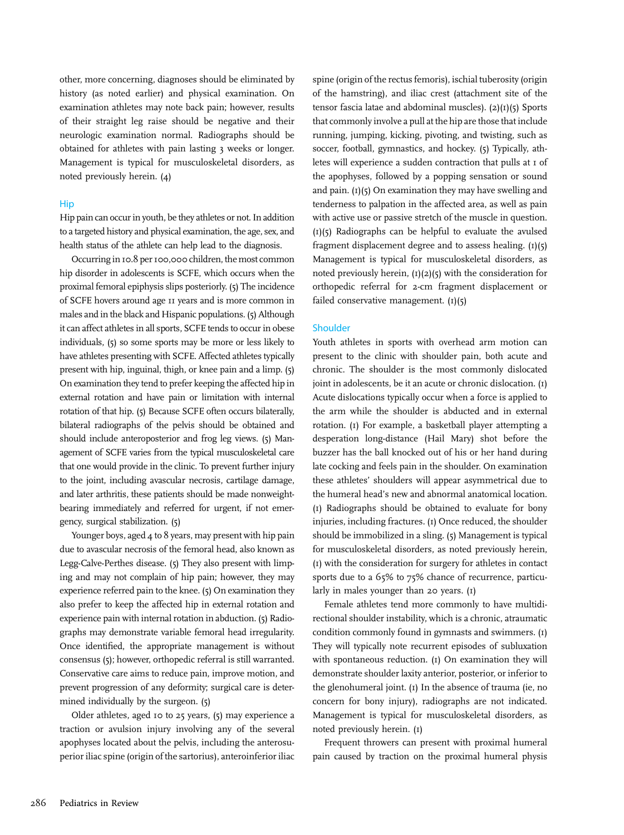other, more concerning, diagnoses should be eliminated by history (as noted earlier) and physical examination. On examination athletes may note back pain; however, results of their straight leg raise should be negative and their neurologic examination normal. Radiographs should be obtained for athletes with pain lasting 3 weeks or longer. Management is typical for musculoskeletal disorders, as noted previously herein. (4)

#### Hip

Hip pain can occur in youth, be they athletes or not. In addition to a targeted history and physical examination, the age, sex, and health status of the athlete can help lead to the diagnosis.

Occurring in 10.8 per 100,000 children, themost common hip disorder in adolescents is SCFE, which occurs when the proximal femoral epiphysis slips posteriorly. (5) The incidence of SCFE hovers around age 11 years and is more common in males and in the black and Hispanic populations. (5) Although it can affect athletes in all sports, SCFE tends to occur in obese individuals, (5) so some sports may be more or less likely to have athletes presenting with SCFE. Affected athletes typically present with hip, inguinal, thigh, or knee pain and a limp. (5) On examination they tend to prefer keeping the affected hip in external rotation and have pain or limitation with internal rotation of that hip. (5) Because SCFE often occurs bilaterally, bilateral radiographs of the pelvis should be obtained and should include anteroposterior and frog leg views. (5) Management of SCFE varies from the typical musculoskeletal care that one would provide in the clinic. To prevent further injury to the joint, including avascular necrosis, cartilage damage, and later arthritis, these patients should be made nonweightbearing immediately and referred for urgent, if not emergency, surgical stabilization. (5)

Younger boys, aged 4 to 8 years, may present with hip pain due to avascular necrosis of the femoral head, also known as Legg-Calve-Perthes disease. (5) They also present with limping and may not complain of hip pain; however, they may experience referred pain to the knee. (5) On examination they also prefer to keep the affected hip in external rotation and experience pain with internal rotation in abduction. (5) Radiographs may demonstrate variable femoral head irregularity. Once identified, the appropriate management is without consensus (5); however, orthopedic referral is still warranted. Conservative care aims to reduce pain, improve motion, and prevent progression of any deformity; surgical care is determined individually by the surgeon. (5)

Older athletes, aged 10 to 25 years, (5) may experience a traction or avulsion injury involving any of the several apophyses located about the pelvis, including the anterosuperior iliac spine (origin of the sartorius), anteroinferior iliac spine (origin of the rectus femoris), ischial tuberosity (origin of the hamstring), and iliac crest (attachment site of the tensor fascia latae and abdominal muscles). (2)(1)(5) Sports that commonly involve a pull at the hip are those that include running, jumping, kicking, pivoting, and twisting, such as soccer, football, gymnastics, and hockey. (5) Typically, athletes will experience a sudden contraction that pulls at 1 of the apophyses, followed by a popping sensation or sound and pain.  $(1)(5)$  On examination they may have swelling and tenderness to palpation in the affected area, as well as pain with active use or passive stretch of the muscle in question.  $(1)(5)$  Radiographs can be helpful to evaluate the avulsed fragment displacement degree and to assess healing.  $(I)(5)$ Management is typical for musculoskeletal disorders, as noted previously herein,  $(I)(2)(5)$  with the consideration for orthopedic referral for 2-cm fragment displacement or failed conservative management.  $(I)(5)$ 

#### Shoulder

Youth athletes in sports with overhead arm motion can present to the clinic with shoulder pain, both acute and chronic. The shoulder is the most commonly dislocated joint in adolescents, be it an acute or chronic dislocation. (1) Acute dislocations typically occur when a force is applied to the arm while the shoulder is abducted and in external rotation. (1) For example, a basketball player attempting a desperation long-distance (Hail Mary) shot before the buzzer has the ball knocked out of his or her hand during late cocking and feels pain in the shoulder. On examination these athletes' shoulders will appear asymmetrical due to the humeral head's new and abnormal anatomical location. (1) Radiographs should be obtained to evaluate for bony injuries, including fractures. (1) Once reduced, the shoulder should be immobilized in a sling. (5) Management is typical for musculoskeletal disorders, as noted previously herein, (1) with the consideration for surgery for athletes in contact sports due to a 65% to 75% chance of recurrence, particularly in males younger than 20 years. (1)

Female athletes tend more commonly to have multidirectional shoulder instability, which is a chronic, atraumatic condition commonly found in gymnasts and swimmers. (1) They will typically note recurrent episodes of subluxation with spontaneous reduction. (1) On examination they will demonstrate shoulder laxity anterior, posterior, or inferior to the glenohumeral joint. (1) In the absence of trauma (ie, no concern for bony injury), radiographs are not indicated. Management is typical for musculoskeletal disorders, as noted previously herein. (1)

Frequent throwers can present with proximal humeral pain caused by traction on the proximal humeral physis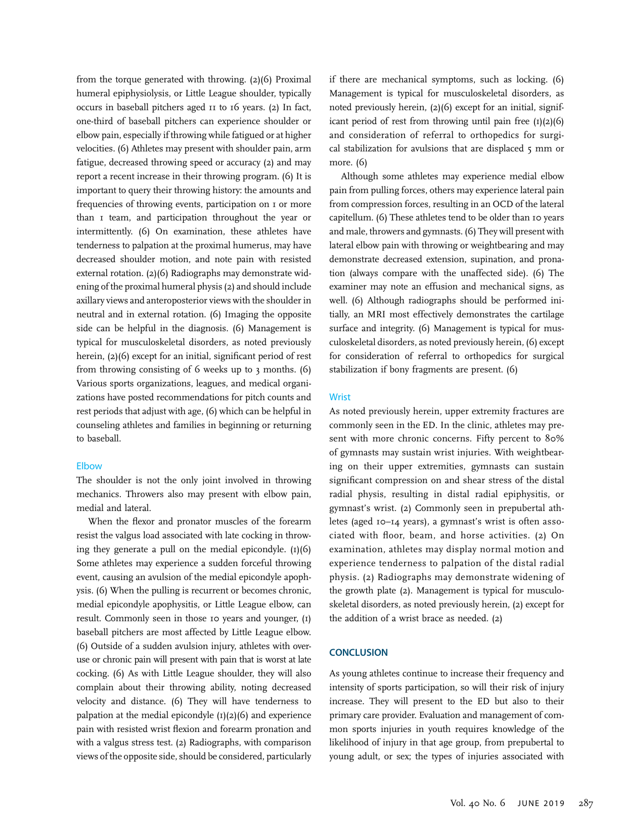from the torque generated with throwing. (2)(6) Proximal humeral epiphysiolysis, or Little League shoulder, typically occurs in baseball pitchers aged 11 to 16 years. (2) In fact, one-third of baseball pitchers can experience shoulder or elbow pain, especially if throwing while fatigued or at higher velocities. (6) Athletes may present with shoulder pain, arm fatigue, decreased throwing speed or accuracy (2) and may report a recent increase in their throwing program. (6) It is important to query their throwing history: the amounts and frequencies of throwing events, participation on 1 or more than 1 team, and participation throughout the year or intermittently. (6) On examination, these athletes have tenderness to palpation at the proximal humerus, may have decreased shoulder motion, and note pain with resisted external rotation. (2)(6) Radiographs may demonstrate widening of the proximal humeral physis (2) and should include axillary views and anteroposterior views with the shoulder in neutral and in external rotation. (6) Imaging the opposite side can be helpful in the diagnosis. (6) Management is typical for musculoskeletal disorders, as noted previously herein, (2)(6) except for an initial, significant period of rest from throwing consisting of 6 weeks up to 3 months. (6) Various sports organizations, leagues, and medical organizations have posted recommendations for pitch counts and rest periods that adjust with age, (6) which can be helpful in counseling athletes and families in beginning or returning to baseball.

#### Elbow

The shoulder is not the only joint involved in throwing mechanics. Throwers also may present with elbow pain, medial and lateral.

When the flexor and pronator muscles of the forearm resist the valgus load associated with late cocking in throwing they generate a pull on the medial epicondyle.  $(I)(6)$ Some athletes may experience a sudden forceful throwing event, causing an avulsion of the medial epicondyle apophysis. (6) When the pulling is recurrent or becomes chronic, medial epicondyle apophysitis, or Little League elbow, can result. Commonly seen in those 10 years and younger, (1) baseball pitchers are most affected by Little League elbow. (6) Outside of a sudden avulsion injury, athletes with overuse or chronic pain will present with pain that is worst at late cocking. (6) As with Little League shoulder, they will also complain about their throwing ability, noting decreased velocity and distance. (6) They will have tenderness to palpation at the medial epicondyle  $(1)(2)(6)$  and experience pain with resisted wrist flexion and forearm pronation and with a valgus stress test. (2) Radiographs, with comparison views of the opposite side, should be considered, particularly

if there are mechanical symptoms, such as locking. (6) Management is typical for musculoskeletal disorders, as noted previously herein, (2)(6) except for an initial, significant period of rest from throwing until pain free  $(I)(2)(6)$ and consideration of referral to orthopedics for surgical stabilization for avulsions that are displaced 5 mm or more. (6)

Although some athletes may experience medial elbow pain from pulling forces, others may experience lateral pain from compression forces, resulting in an OCD of the lateral capitellum. (6) These athletes tend to be older than 10 years and male, throwers and gymnasts. (6) They will present with lateral elbow pain with throwing or weightbearing and may demonstrate decreased extension, supination, and pronation (always compare with the unaffected side). (6) The examiner may note an effusion and mechanical signs, as well. (6) Although radiographs should be performed initially, an MRI most effectively demonstrates the cartilage surface and integrity. (6) Management is typical for musculoskeletal disorders, as noted previously herein, (6) except for consideration of referral to orthopedics for surgical stabilization if bony fragments are present. (6)

#### **Wrist**

As noted previously herein, upper extremity fractures are commonly seen in the ED. In the clinic, athletes may present with more chronic concerns. Fifty percent to 80% of gymnasts may sustain wrist injuries. With weightbearing on their upper extremities, gymnasts can sustain significant compression on and shear stress of the distal radial physis, resulting in distal radial epiphysitis, or gymnast's wrist. (2) Commonly seen in prepubertal athletes (aged 10–14 years), a gymnast's wrist is often associated with floor, beam, and horse activities. (2) On examination, athletes may display normal motion and experience tenderness to palpation of the distal radial physis. (2) Radiographs may demonstrate widening of the growth plate (2). Management is typical for musculoskeletal disorders, as noted previously herein, (2) except for the addition of a wrist brace as needed. (2)

#### **CONCLUSION**

As young athletes continue to increase their frequency and intensity of sports participation, so will their risk of injury increase. They will present to the ED but also to their primary care provider. Evaluation and management of common sports injuries in youth requires knowledge of the likelihood of injury in that age group, from prepubertal to young adult, or sex; the types of injuries associated with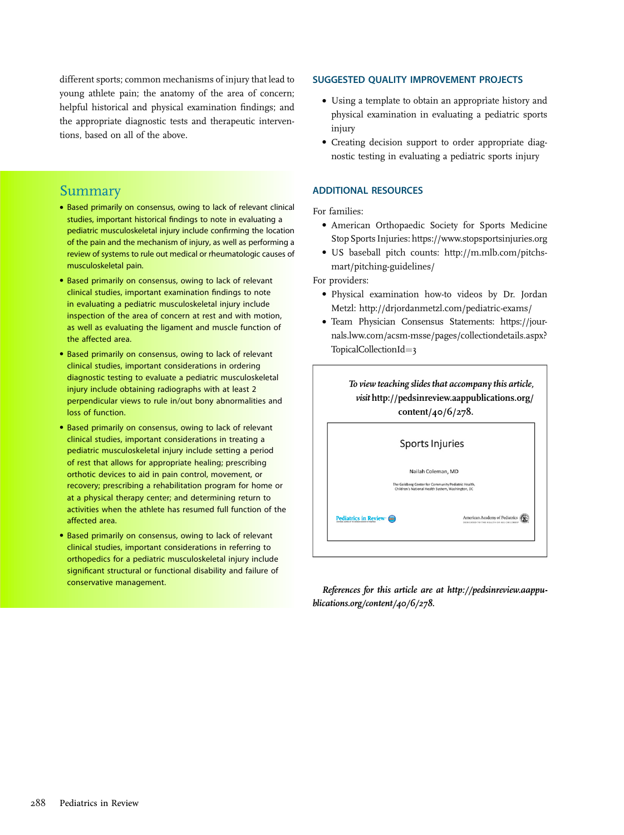different sports; common mechanisms of injury that lead to young athlete pain; the anatomy of the area of concern; helpful historical and physical examination findings; and the appropriate diagnostic tests and therapeutic interventions, based on all of the above.

### Summary

- Based primarily on consensus, owing to lack of relevant clinical studies, important historical findings to note in evaluating a pediatric musculoskeletal injury include confirming the location of the pain and the mechanism of injury, as well as performing a review of systems to rule out medical or rheumatologic causes of musculoskeletal pain.
- Based primarily on consensus, owing to lack of relevant clinical studies, important examination findings to note in evaluating a pediatric musculoskeletal injury include inspection of the area of concern at rest and with motion, as well as evaluating the ligament and muscle function of the affected area.
- Based primarily on consensus, owing to lack of relevant clinical studies, important considerations in ordering diagnostic testing to evaluate a pediatric musculoskeletal injury include obtaining radiographs with at least 2 perpendicular views to rule in/out bony abnormalities and loss of function.
- Based primarily on consensus, owing to lack of relevant clinical studies, important considerations in treating a pediatric musculoskeletal injury include setting a period of rest that allows for appropriate healing; prescribing orthotic devices to aid in pain control, movement, or recovery; prescribing a rehabilitation program for home or at a physical therapy center; and determining return to activities when the athlete has resumed full function of the affected area.
- Based primarily on consensus, owing to lack of relevant clinical studies, important considerations in referring to orthopedics for a pediatric musculoskeletal injury include significant structural or functional disability and failure of conservative management.

#### SUGGESTED QUALITY IMPROVEMENT PROJECTS

- Using a template to obtain an appropriate history and physical examination in evaluating a pediatric sports injury
- Creating decision support to order appropriate diagnostic testing in evaluating a pediatric sports injury

#### ADDITIONAL RESOURCES

For families:

- American Orthopaedic Society for Sports Medicine Stop Sports Injuries:<https://www.stopsportsinjuries.org>
- US baseball pitch counts: [http://m.mlb.com/pitchs](http://m.mlb.com/pitchsmart/pitching-guidelines/For providers)[mart/pitching-guidelines/](http://m.mlb.com/pitchsmart/pitching-guidelines/For providers)

For providers:

- Physical examination how-to videos by Dr. Jordan Metzl:<http://drjordanmetzl.com/pediatric-exams/>
- Team Physician Consensus Statements: [https://jour](https://journals.lww.com/acsm-msse/pages/collectiondetails.aspx?TopicalCollectionId=3)[nals.lww.com/acsm-msse/pages/collectiondetails.aspx?](https://journals.lww.com/acsm-msse/pages/collectiondetails.aspx?TopicalCollectionId=3)  $TopicalCollectionId = 3$  $TopicalCollectionId = 3$  $TopicalCollectionId = 3$



References for this article are at [http://pedsinreview.aappu](http://pedsinreview.aappublications.org/content/40/6/278)[blications.org/content/40/6/278.](http://pedsinreview.aappublications.org/content/40/6/278)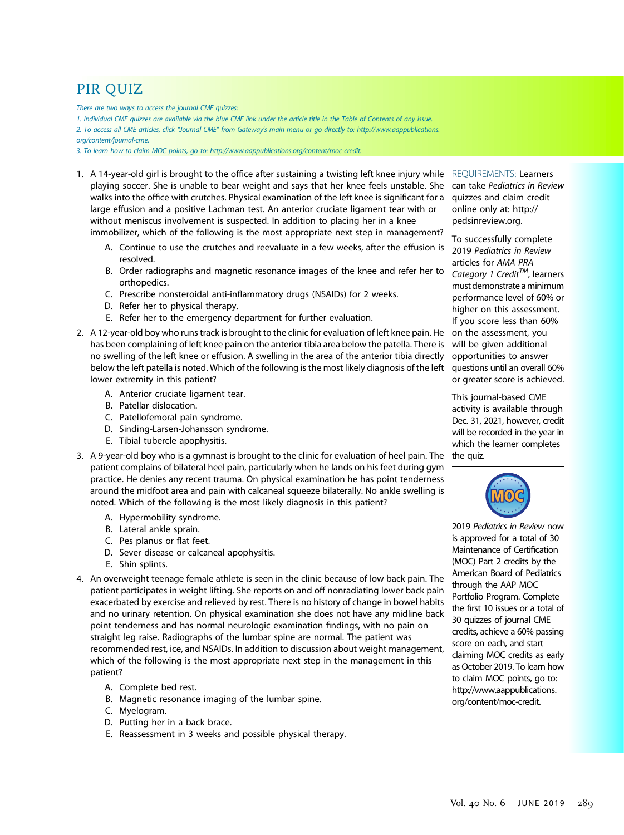## PIR QUIZ

There are two ways to access the journal CME quizzes:

1. Individual CME quizzes are available via the blue CME link under the article title in the Table of Contents of any issue.

2. To access all CME articles, click "Journal CME" from Gateway's main menu or go directly to: [http://www.aappublications.](http://www.aappublications.org/content/journal-cme)

[org/content/journal-cme.](http://www.aappublications.org/content/journal-cme)

3. To learn how to claim MOC points, go to: [http://www.aappublications.org/content/moc-credit.](http://www.aappublications.org/content/moc-credit)

- 1. A 14-year-old girl is brought to the office after sustaining a twisting left knee injury while REQUIREMENTS: Learners playing soccer. She is unable to bear weight and says that her knee feels unstable. She walks into the office with crutches. Physical examination of the left knee is significant for a large effusion and a positive Lachman test. An anterior cruciate ligament tear with or without meniscus involvement is suspected. In addition to placing her in a knee immobilizer, which of the following is the most appropriate next step in management?
	- A. Continue to use the crutches and reevaluate in a few weeks, after the effusion is resolved.
	- B. Order radiographs and magnetic resonance images of the knee and refer her to orthopedics.
	- C. Prescribe nonsteroidal anti-inflammatory drugs (NSAIDs) for 2 weeks.
	- D. Refer her to physical therapy.
	- E. Refer her to the emergency department for further evaluation.
- 2. A 12-year-old boy who runs track is brought to the clinic for evaluation of left knee pain. He has been complaining of left knee pain on the anterior tibia area below the patella. There is no swelling of the left knee or effusion. A swelling in the area of the anterior tibia directly below the left patella is noted. Which of the following is the most likely diagnosis of the left lower extremity in this patient?
	- A. Anterior cruciate ligament tear.
	- B. Patellar dislocation.
	- C. Patellofemoral pain syndrome.
	- D. Sinding-Larsen-Johansson syndrome.
	- E. Tibial tubercle apophysitis.
- 3. A 9-year-old boy who is a gymnast is brought to the clinic for evaluation of heel pain. The patient complains of bilateral heel pain, particularly when he lands on his feet during gym practice. He denies any recent trauma. On physical examination he has point tenderness around the midfoot area and pain with calcaneal squeeze bilaterally. No ankle swelling is noted. Which of the following is the most likely diagnosis in this patient?
	- A. Hypermobility syndrome.
	- B. Lateral ankle sprain.
	- C. Pes planus or flat feet.
	- D. Sever disease or calcaneal apophysitis.
	- E. Shin splints.
- 4. An overweight teenage female athlete is seen in the clinic because of low back pain. The patient participates in weight lifting. She reports on and off nonradiating lower back pain exacerbated by exercise and relieved by rest. There is no history of change in bowel habits and no urinary retention. On physical examination she does not have any midline back point tenderness and has normal neurologic examination findings, with no pain on straight leg raise. Radiographs of the lumbar spine are normal. The patient was recommended rest, ice, and NSAIDs. In addition to discussion about weight management, which of the following is the most appropriate next step in the management in this patient?
	- A. Complete bed rest.
	- B. Magnetic resonance imaging of the lumbar spine.
	- C. Myelogram.
	- D. Putting her in a back brace.
	- E. Reassessment in 3 weeks and possible physical therapy.

can take Pediatrics in Review quizzes and claim credit online only at: [http://](http://pedsinreview.org) [pedsinreview.org](http://pedsinreview.org).

To successfully complete 2019 Pediatrics in Review articles for AMA PRA Category 1 Credit<sup>TM</sup>, learners must demonstrate aminimum performance level of 60% or higher on this assessment. If you score less than 60% on the assessment, you will be given additional opportunities to answer questions until an overall 60% or greater score is achieved.

This journal-based CME activity is available through Dec. 31, 2021, however, credit will be recorded in the year in which the learner completes the quiz.



2019 Pediatrics in Review now is approved for a total of 30 Maintenance of Certification (MOC) Part 2 credits by the American Board of Pediatrics through the AAP MOC Portfolio Program. Complete the first 10 issues or a total of 30 quizzes of journal CME credits, achieve a 60% passing score on each, and start claiming MOC credits as early as October 2019. To learn how to claim MOC points, go to: [http://www.aappublications.](http://www.aappublications.org/content/moc-credit) [org/content/moc-credit](http://www.aappublications.org/content/moc-credit).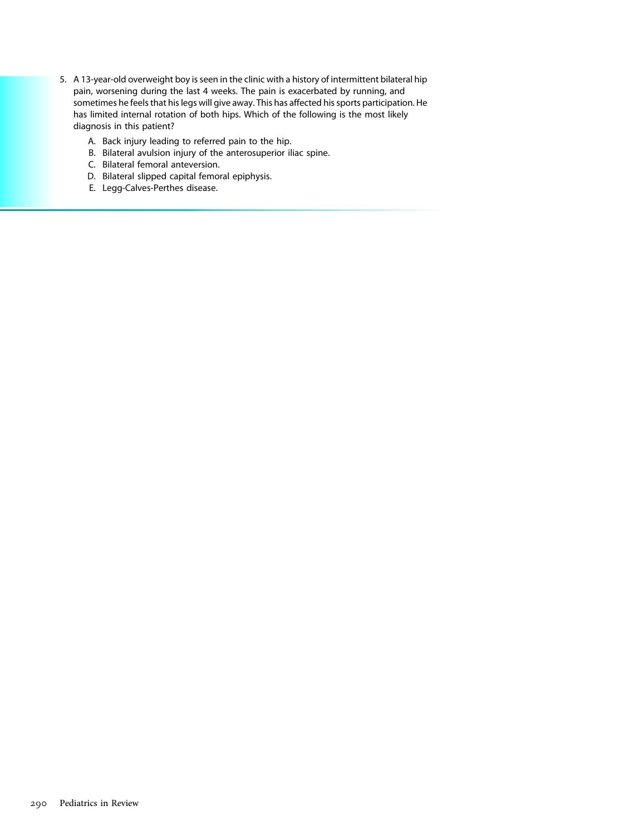- 5. A 13-year-old overweight boy is seen in the clinic with a history of intermittent bilateral hip pain, worsening during the last 4 weeks. The pain is exacerbated by running, and sometimes he feels that his legs will give away. This has affected his sports participation. He has limited internal rotation of both hips. Which of the following is the most likely diagnosis in this patient?
	- A. Back injury leading to referred pain to the hip.
	- B. Bilateral avulsion injury of the anterosuperior iliac spine.
	- C. Bilateral femoral anteversion.
	- D. Bilateral slipped capital femoral epiphysis.
	- E. Legg-Calves-Perthes disease.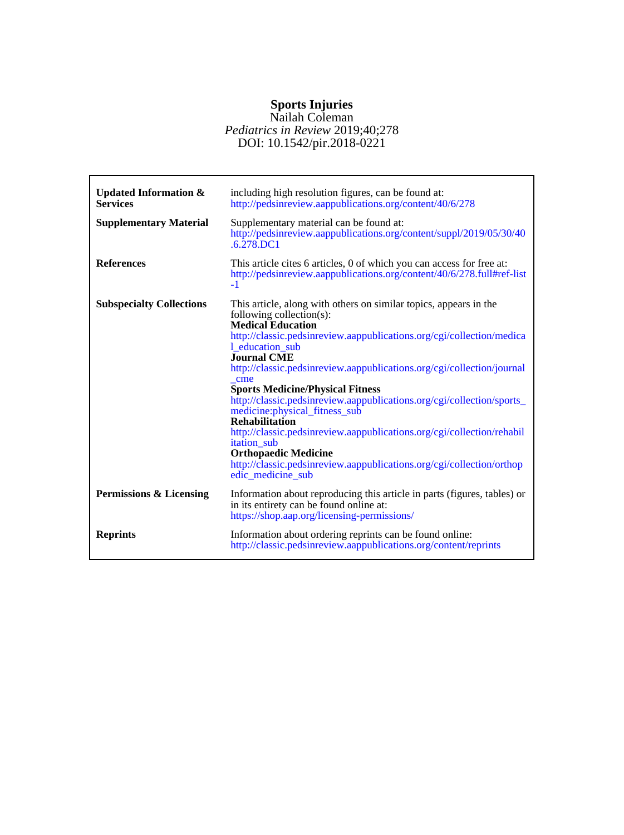### Nailah Coleman **Sports Injuries**

### DOI: 10.1542/pir.2018-0221 *Pediatrics in Review* 2019;40;278

| <b>Updated Information &amp;</b><br><b>Services</b> | including high resolution figures, can be found at:<br>http://pedsinreview.aappublications.org/content/40/6/278                                                                                                                                                                                                                                                                                                                                                                                                                                                                                                                                                                                                                   |
|-----------------------------------------------------|-----------------------------------------------------------------------------------------------------------------------------------------------------------------------------------------------------------------------------------------------------------------------------------------------------------------------------------------------------------------------------------------------------------------------------------------------------------------------------------------------------------------------------------------------------------------------------------------------------------------------------------------------------------------------------------------------------------------------------------|
| <b>Supplementary Material</b>                       | Supplementary material can be found at:<br>http://pedsinreview.aappublications.org/content/suppl/2019/05/30/40<br>.6.278.DC1                                                                                                                                                                                                                                                                                                                                                                                                                                                                                                                                                                                                      |
| <b>References</b>                                   | This article cites 6 articles, 0 of which you can access for free at:<br>http://pedsinreview.aappublications.org/content/40/6/278.full#ref-list<br>$-1$                                                                                                                                                                                                                                                                                                                                                                                                                                                                                                                                                                           |
| <b>Subspecialty Collections</b>                     | This article, along with others on similar topics, appears in the<br>following collection(s):<br><b>Medical Education</b><br>http://classic.pedsinreview.aappublications.org/cgi/collection/medica<br>1_education_sub<br><b>Journal CME</b><br>http://classic.pedsinreview.aappublications.org/cgi/collection/journal<br>cme<br><b>Sports Medicine/Physical Fitness</b><br>http://classic.pedsinreview.aappublications.org/cgi/collection/sports_<br>medicine:physical_fitness_sub<br><b>Rehabilitation</b><br>http://classic.pedsinreview.aappublications.org/cgi/collection/rehabil<br>itation sub<br><b>Orthopaedic Medicine</b><br>http://classic.pedsinreview.aappublications.org/cgi/collection/orthop<br>edic medicine sub |
| <b>Permissions &amp; Licensing</b>                  | Information about reproducing this article in parts (figures, tables) or<br>in its entirety can be found online at:<br>https://shop.aap.org/licensing-permissions/                                                                                                                                                                                                                                                                                                                                                                                                                                                                                                                                                                |
| <b>Reprints</b>                                     | Information about ordering reprints can be found online:<br>http://classic.pedsinreview.aappublications.org/content/reprints                                                                                                                                                                                                                                                                                                                                                                                                                                                                                                                                                                                                      |